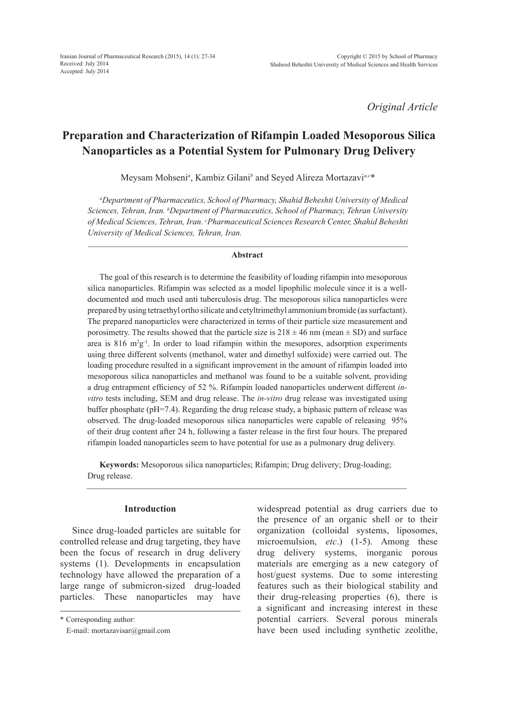*Original Article*

# **Preparation and Characterization of Rifampin Loaded Mesoporous Silica Nanoparticles as a Potential System for Pulmonary Drug Delivery**

Meysam Mohseni*<sup>a</sup>* , Kambiz Gilani*<sup>b</sup>* and Seyed Alireza Mortazavi*a,c*\*

*a Department of Pharmaceutics, School of Pharmacy, Shahid Beheshti University of Medical Sciences, Tehran, Iran. b Department of Pharmaceutics, School of Pharmacy, Tehran University of Medical Sciences, Tehran, Iran. c Pharmaceutical Sciences Research Center, Shahid Beheshti University of Medical Sciences, Tehran, Iran.*

#### **Abstract**

The goal of this research is to determine the feasibility of loading rifampin into mesoporous silica nanoparticles. Rifampin was selected as a model lipophilic molecule since it is a welldocumented and much used anti tuberculosis drug. The mesoporous silica nanoparticles were prepared by using tetraethyl ortho silicate and cetyltrimethyl ammonium bromide (as surfactant). The prepared nanoparticles were characterized in terms of their particle size measurement and porosimetry. The results showed that the particle size is  $218 \pm 46$  nm (mean  $\pm$  SD) and surface area is 816  $m^2g^{-1}$ . In order to load rifampin within the mesopores, adsorption experiments using three different solvents (methanol, water and dimethyl sulfoxide) were carried out. The loading procedure resulted in a significant improvement in the amount of rifampin loaded into mesoporous silica nanoparticles and methanol was found to be a suitable solvent, providing a drug entrapment efficiency of 52 %. Rifampin loaded nanoparticles underwent different *invitro* tests including, SEM and drug release. The *in-vitro* drug release was investigated using buffer phosphate (pH=7.4). Regarding the drug release study, a biphasic pattern of release was observed. The drug-loaded mesoporous silica nanoparticles were capable of releasing 95% of their drug content after 24 h, following a faster release in the first four hours. The prepared rifampin loaded nanoparticles seem to have potential for use as a pulmonary drug delivery.

**Keywords:** Mesoporous silica nanoparticles; Rifampin; Drug delivery; Drug-loading; Drug release.

# **Introduction**

Since drug-loaded particles are suitable for controlled release and drug targeting, they have been the focus of research in drug delivery systems (1). Developments in encapsulation technology have allowed the preparation of a large range of submicron-sized drug-loaded particles. These nanoparticles may have widespread potential as drug carriers due to the presence of an organic shell or to their organization (colloidal systems, liposomes, microemulsion, *etc*.) (1-5). Among these drug delivery systems, inorganic porous materials are emerging as a new category of host/guest systems. Due to some interesting features such as their biological stability and their drug-releasing properties (6), there is a significant and increasing interest in these potential carriers. Several porous minerals have been used including synthetic zeolithe,

<sup>\*</sup> Corresponding author:

E-mail: mortazavisar@gmail.com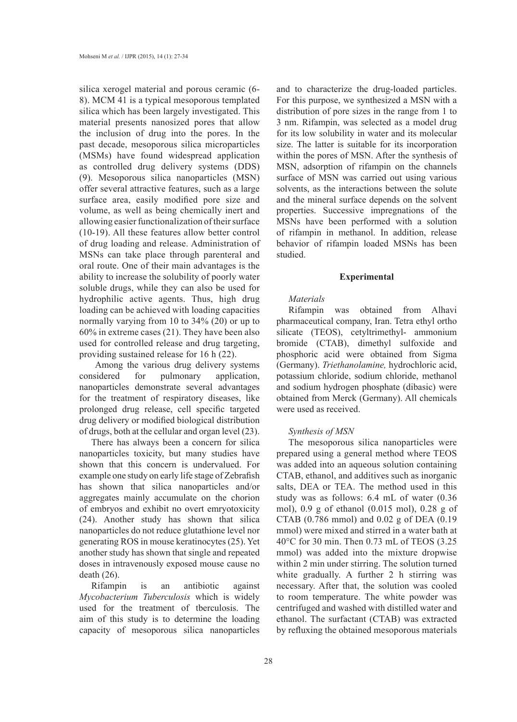silica xerogel material and porous ceramic (6- 8). MCM 41 is a typical mesoporous templated silica which has been largely investigated. This material presents nanosized pores that allow the inclusion of drug into the pores. In the past decade, mesoporous silica microparticles (MSMs) have found widespread application as controlled drug delivery systems (DDS) (9). Mesoporous silica nanoparticles (MSN) offer several attractive features, such as a large surface area, easily modified pore size and volume, as well as being chemically inert and allowing easier functionalization of their surface (10-19). All these features allow better control of drug loading and release. Administration of MSNs can take place through parenteral and oral route. One of their main advantages is the ability to increase the solubility of poorly water soluble drugs, while they can also be used for hydrophilic active agents. Thus, high drug loading can be achieved with loading capacities normally varying from 10 to 34% (20) or up to 60% in extreme cases (21). They have been also used for controlled release and drug targeting, providing sustained release for 16 h (22).

 Among the various drug delivery systems considered for pulmonary application, nanoparticles demonstrate several advantages for the treatment of respiratory diseases, like prolonged drug release, cell specific targeted drug delivery or modified biological distribution of drugs, both at the cellular and organ level (23).

There has always been a concern for silica nanoparticles toxicity, but many studies have shown that this concern is undervalued. For example one study on early life stage of Zebrafish has shown that silica nanoparticles and/or aggregates mainly accumulate on the chorion of embryos and exhibit no overt emryotoxicity (24). Another study has shown that silica nanoparticles do not reduce glutathione level nor generating ROS in mouse keratinocytes (25). Yet another study has shown that single and repeated doses in intravenously exposed mouse cause no death (26).

Rifampin is an antibiotic against *Mycobacterium Tuberculosis* which is widely used for the treatment of tberculosis. The aim of this study is to determine the loading capacity of mesoporous silica nanoparticles and to characterize the drug-loaded particles. For this purpose, we synthesized a MSN with a distribution of pore sizes in the range from 1 to 3 nm. Rifampin, was selected as a model drug for its low solubility in water and its molecular size. The latter is suitable for its incorporation within the pores of MSN. After the synthesis of MSN, adsorption of rifampin on the channels surface of MSN was carried out using various solvents, as the interactions between the solute and the mineral surface depends on the solvent properties. Successive impregnations of the MSNs have been performed with a solution of rifampin in methanol. In addition, release behavior of rifampin loaded MSNs has been studied.

#### **Experimental**

## *Materials*

Rifampin was obtained from Alhavi pharmaceutical company, Iran. Tetra ethyl ortho silicate (TEOS), cetyltrimethyl- ammonium bromide (CTAB), dimethyl sulfoxide and phosphoric acid were obtained from Sigma (Germany). *Triethanolamine,* hydrochloric acid, potassium chloride, sodium chloride, methanol and sodium hydrogen phosphate (dibasic) were obtained from Merck (Germany). All chemicals were used as received.

#### *Synthesis of MSN*

The mesoporous silica nanoparticles were prepared using a general method where TEOS was added into an aqueous solution containing CTAB, ethanol, and additives such as inorganic salts, DEA or TEA. The method used in this study was as follows: 6.4 mL of water (0.36 mol), 0.9 g of ethanol (0.015 mol), 0.28 g of CTAB (0.786 mmol) and 0.02 g of DEA (0.19 mmol) were mixed and stirred in a water bath at 40°C for 30 min. Then 0.73 mL of TEOS (3.25 mmol) was added into the mixture dropwise within 2 min under stirring. The solution turned white gradually. A further 2 h stirring was necessary. After that, the solution was cooled to room temperature. The white powder was centrifuged and washed with distilled water and ethanol. The surfactant (CTAB) was extracted by refluxing the obtained mesoporous materials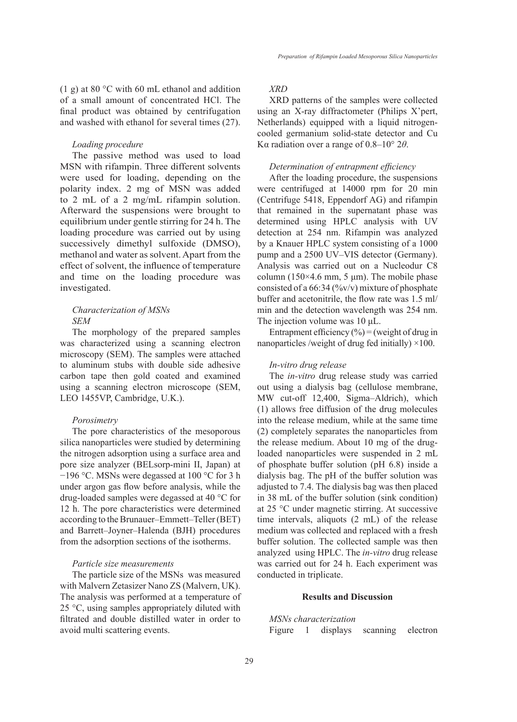(1 g) at 80 °C with 60 mL ethanol and addition of a small amount of concentrated HCl. The final product was obtained by centrifugation and washed with ethanol for several times (27).

## *Loading procedure*

The passive method was used to load MSN with rifampin. Three different solvents were used for loading, depending on the polarity index. 2 mg of MSN was added to 2 mL of a 2 mg/mL rifampin solution. Afterward the suspensions were brought to equilibrium under gentle stirring for 24 h. The loading procedure was carried out by using successively dimethyl sulfoxide (DMSO), methanol and water as solvent. Apart from the effect of solvent, the influence of temperature and time on the loading procedure was investigated.

# *Characterization of MSNs SEM*

The morphology of the prepared samples was characterized using a scanning electron microscopy (SEM). The samples were attached to aluminum stubs with double side adhesive carbon tape then gold coated and examined using a scanning electron microscope (SEM, LEO 1455VP, Cambridge, U.K.).

#### *Porosimetry*

The pore characteristics of the mesoporous silica nanoparticles were studied by determining the nitrogen adsorption using a surface area and pore size analyzer (BELsorp-mini II, Japan) at −196 °C. MSNs were degassed at 100 °C for 3 h under argon gas flow before analysis, while the drug-loaded samples were degassed at 40 °C for 12 h. The pore characteristics were determined according to the Brunauer–Emmett–Teller (BET) and Barrett–Joyner–Halenda (BJH) procedures from the adsorption sections of the isotherms.

#### *Particle size measurements*

The particle size of the MSNs was measured with Malvern Zetasizer Nano ZS (Malvern, UK). The analysis was performed at a temperature of 25 °C, using samples appropriately diluted with filtrated and double distilled water in order to avoid multi scattering events.

## *XRD*

XRD patterns of the samples were collected using an X-ray diffractometer (Philips X'pert, Netherlands) equipped with a liquid nitrogencooled germanium solid-state detector and Cu Kα radiation over a range of 0.8–10° 2*θ*.

## *Determination of entrapment efficiency*

After the loading procedure, the suspensions were centrifuged at 14000 rpm for 20 min (Centrifuge 5418, Eppendorf AG) and rifampin that remained in the supernatant phase was determined using HPLC analysis with UV detection at 254 nm. Rifampin was analyzed by a Knauer HPLC system consisting of a 1000 pump and a 2500 UV–VIS detector (Germany). Analysis was carried out on a Nucleodur C8 column (150 $\times$ 4.6 mm, 5 µm). The mobile phase consisted of a  $66:34$  (%v/v) mixture of phosphate buffer and acetonitrile, the flow rate was 1.5 ml/ min and the detection wavelength was 254 nm. The injection volume was 10 μL.

Entrapment efficiency  $(\% ) =$  (weight of drug in nanoparticles /weight of drug fed initially)  $\times$ 100.

#### *In-vitro drug release*

The *in-vitro* drug release study was carried out using a dialysis bag (cellulose membrane, MW cut-off 12,400, Sigma–Aldrich), which (1) allows free diffusion of the drug molecules into the release medium, while at the same time (2) completely separates the nanoparticles from the release medium. About 10 mg of the drugloaded nanoparticles were suspended in 2 mL of phosphate buffer solution (pH 6.8) inside a dialysis bag. The pH of the buffer solution was adjusted to 7.4. The dialysis bag was then placed in 38 mL of the buffer solution (sink condition) at 25 °C under magnetic stirring. At successive time intervals, aliquots (2 mL) of the release medium was collected and replaced with a fresh buffer solution. The collected sample was then analyzed using HPLC. The *in-vitro* drug release was carried out for 24 h. Each experiment was conducted in triplicate.

## **Results and Discussion**

*MSNs characterization*

Figure 1 displays scanning electron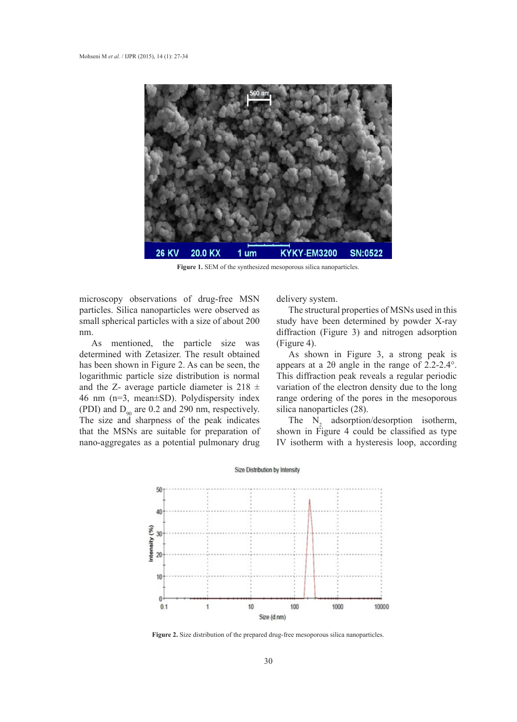

**Figure 1.** SEM of the synthesized mesoporous silica nanoparticles.

microscopy observations of drug-free MSN particles. Silica nanoparticles were observed as small spherical particles with a size of about 200 nm.

As mentioned, the particle size was determined with Zetasizer. The result obtained has been shown in Figure 2. As can be seen, the logarithmic particle size distribution is normal and the Z- average particle diameter is  $218 \pm$ 46 nm (n=3, mean±SD). Polydispersity index (PDI) and  $D_{90}$  are 0.2 and 290 nm, respectively. The size and sharpness of the peak indicates that the MSNs are suitable for preparation of nano-aggregates as a potential pulmonary drug delivery system.

The structural properties of MSNs used in this study have been determined by powder X-ray diffraction (Figure 3) and nitrogen adsorption (Figure 4).

As shown in Figure 3, a strong peak is appears at a 2θ angle in the range of 2.2-2.4°. This diffraction peak reveals a regular periodic variation of the electron density due to the long range ordering of the pores in the mesoporous silica nanoparticles (28).

The  $N_2$  adsorption/desorption isotherm, shown in Figure 4 could be classified as type IV isotherm with a hysteresis loop, according



**Figure 2.** Size distribution of the prepared drug-free mesoporous silica nanoparticles.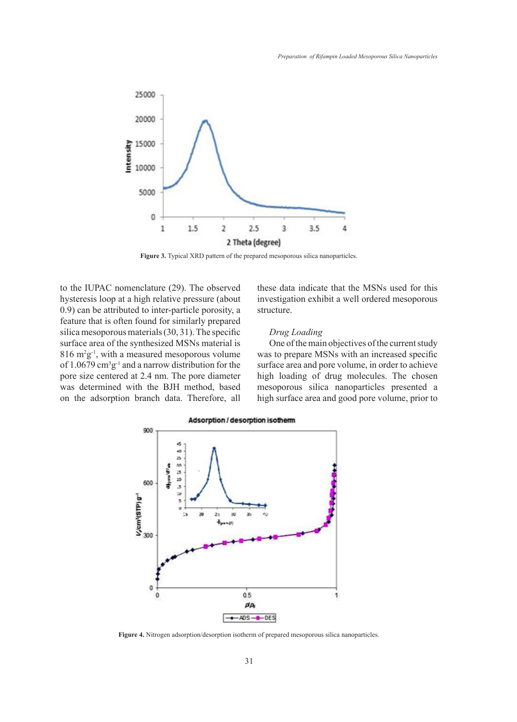

**Figure 3.** Typical XRD pattern of the prepared mesoporous silica nanoparticles.

to the IUPAC nomenclature (29). The observed hysteresis loop at a high relative pressure (about 0.9) can be attributed to inter-particle porosity, a feature that is often found for similarly prepared silica mesoporous materials (30, 31). The specific surface area of the synthesized MSNs material is  $816 \text{ m}^2 \text{g}^{-1}$ , with a measured mesoporous volume of 1.0679  $\text{cm}^3 \text{g}^{-1}$  and a narrow distribution for the pore size centered at 2.4 nm. The pore diameter was determined with the BJH method, based on the adsorption branch data. Therefore, all

these data indicate that the MSNs used for this investigation exhibit a well ordered mesoporous structure.

## *Drug Loading*

One of the main objectives of the current study was to prepare MSNs with an increased specific surface area and pore volume, in order to achieve high loading of drug molecules. The chosen mesoporous silica nanoparticles presented a high surface area and good pore volume, prior to



**Figure 4.** Nitrogen adsorption/desorption isotherm of prepared mesoporous silica nanoparticles.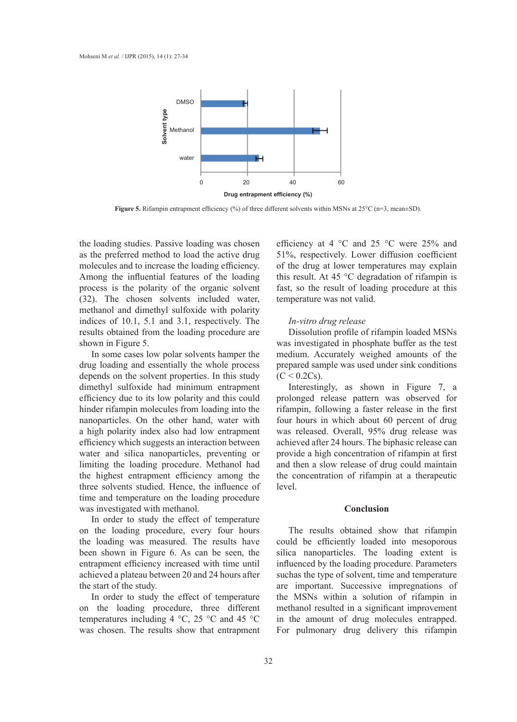

**Figure 5.** Rifampin entrapment efficiency (%) of three different solvents within MSNs at 25°C (n=3, mean $\pm$ SD).

the loading studies. Passive loading was chosen as the preferred method to load the active drug molecules and to increase the loading efficiency. Among the influential features of the loading process is the polarity of the organic solvent (32). The chosen solvents included water, methanol and dimethyl sulfoxide with polarity indices of 10.1, 5.1 and 3.1, respectively. The results obtained from the loading procedure are shown in Figure 5.

In some cases low polar solvents hamper the drug loading and essentially the whole process depends on the solvent properties. In this study dimethyl sulfoxide had minimum entrapment efficiency due to its low polarity and this could hinder rifampin molecules from loading into the nanoparticles. On the other hand, water with a high polarity index also had low entrapment efficiency which suggests an interaction between water and silica nanoparticles, preventing or limiting the loading procedure. Methanol had the highest entrapment efficiency among the three solvents studied. Hence, the influence of time and temperature on the loading procedure was investigated with methanol.

In order to study the effect of temperature on the loading procedure, every four hours the loading was measured. The results have been shown in Figure 6. As can be seen, the entrapment efficiency increased with time until achieved a plateau between 20 and 24 hours after the start of the study.

In order to study the effect of temperature on the loading procedure, three different temperatures including 4  $\degree$ C, 25  $\degree$ C and 45  $\degree$ C was chosen. The results show that entrapment efficiency at 4 °C and 25 °C were 25% and 51%, respectively. Lower diffusion coefficient of the drug at lower temperatures may explain this result. At 45 °C degradation of rifampin is fast, so the result of loading procedure at this temperature was not valid.

## *In-vitro drug release*

Dissolution profile of rifampin loaded MSNs was investigated in phosphate buffer as the test medium. Accurately weighed amounts of the prepared sample was used under sink conditions  $(C < 0.2Cs)$ .

Interestingly, as shown in Figure 7, a prolonged release pattern was observed for rifampin, following a faster release in the first four hours in which about 60 percent of drug was released. Overall, 95% drug release was achieved after 24 hours. The biphasic release can provide a high concentration of rifampin at first and then a slow release of drug could maintain the concentration of rifampin at a therapeutic level.

## **Conclusion**

The results obtained show that rifampin could be efficiently loaded into mesoporous silica nanoparticles. The loading extent is influenced by the loading procedure. Parameters suchas the type of solvent, time and temperature are important. Successive impregnations of the MSNs within a solution of rifampin in methanol resulted in a significant improvement in the amount of drug molecules entrapped. For pulmonary drug delivery this rifampin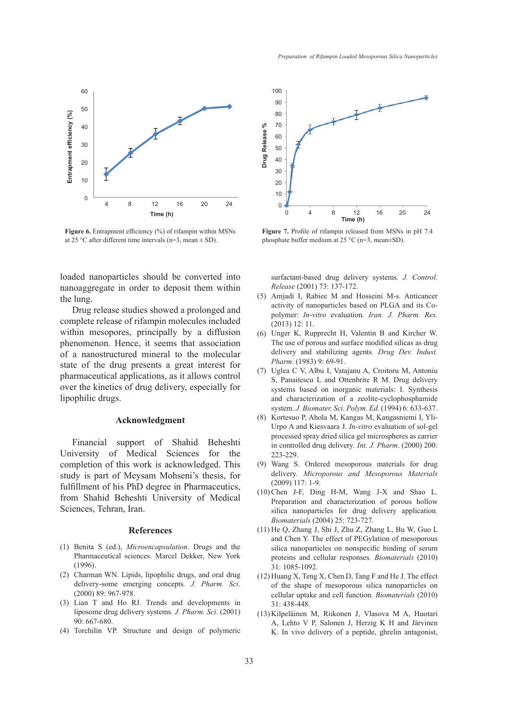

**Figure 6.** Entrapment efficiency (%) of rifampin within MSNs at 25 °C after different time intervals (n=3, mean  $\pm$  SD).

loaded nanoparticles should be converted into nanoaggregate in order to deposit them within the lung.

Drug release studies showed a prolonged and complete release of rifampin molecules included within mesopores, principally by a diffusion phenomenon. Hence, it seems that association of a nanostructured mineral to the molecular state of the drug presents a great interest for pharmaceutical applications, as it allows control over the kinetics of drug delivery, especially for lipophilic drugs.

## **Acknowledgment**

Financial support of Shahid Beheshti University of Medical Sciences for the completion of this work is acknowledged. This study is part of Meysam Mohseni's thesis, for fulfillment of his PhD degree in Pharmaceutics, from Shahid Beheshti University of Medical Sciences, Tehran, Iran.

#### **References**

- Benita S (ed.), *Microencapsulation*. Drugs and the (1) Pharmaceutical sciences. Marcel Dekker, New York (1996).
- Charman WN. Lipids, lipophilic drugs, and oral drug (2) delivery-some emerging concepts*. J. Pharm. Sci*. (2000) 89: 967-978.
- $(3)$  Lian T and Ho RJ. Trends and developments in liposome drug delivery systems*. J. Pharm. Sci*. (2001) 90: 667-680.
- (4) Torchilin VP. Structure and design of polymeric



**Figure 7.** Profile of rifampin released from MSNs in pH 7.4 phosphate buffer medium at 25 °C (n=3, mean±SD).

surfactant-based drug delivery systems*. J. Control. Release* (2001) 73: 137-172.

- Amjadi I, Rabiee M and Hosseini M-s. Anticancer (5) activity of nanoparticles based on PLGA and its Copolymer: *In-vitro* evaluation*. Iran. J. Pharm. Res.* (2013) 12: 11.
- Unger K, Rupprecht H, Valentin B and Kircher W. (6) The use of porous and surface modified silicas as drug delivery and stabilizing agents*. Drug Dev. Indust. Pharm*. (1983) 9: 69-91.
- Uglea C V, Albu I, Vatajanu A, Croitoru M, Antoniu (7) S, Panaitescu L and Ottenbrite R M. Drug delivery systems based on inorganic materials: I. Synthesis and characterization of a zeolite-cyclophosphamide system*. J. Biomater. Sci. Polym. Ed*. (1994) 6: 633-637.
- (8) Kortesuo P, Ahola M, Kangas M, Kangasniemi I, Yli-Urpo A and Kiesvaara J. *In-vitro* evaluation of sol-gel processed spray dried silica gel microspheres as carrier in controlled drug delivery*. Int. J. Pharm*. (2000) 200: 223-229.
- Wang S. Ordered mesoporous materials for drug (9) delivery*. Microporous and Mesoporous Materials* (2009) 117: 1-9.
- $(10)$  Chen J-F, Ding H-M, Wang J-X and Shao L. Preparation and characterization of porous hollow silica nanoparticles for drug delivery application*. Biomaterials* (2004) 25: 723-727.
- (11) He Q, Zhang J, Shi J, Zhu Z, Zhang L, Bu W, Guo L and Chen Y. The effect of PEGylation of mesoporous silica nanoparticles on nonspecific binding of serum proteins and cellular responses*. Biomaterials* (2010) 31: 1085-1092.
- $(12)$  Huang X, Teng X, Chen D, Tang F and He J. The effect of the shape of mesoporous silica nanoparticles on cellular uptake and cell function*. Biomaterials* (2010) 31: 438-448.
- (13) Kilpeläinen M, Riikonen J, Vlasova M A, Huotari A, Lehto V P, Salonen J, Herzig K H and Järvinen K. In vivo delivery of a peptide, ghrelin antagonist,